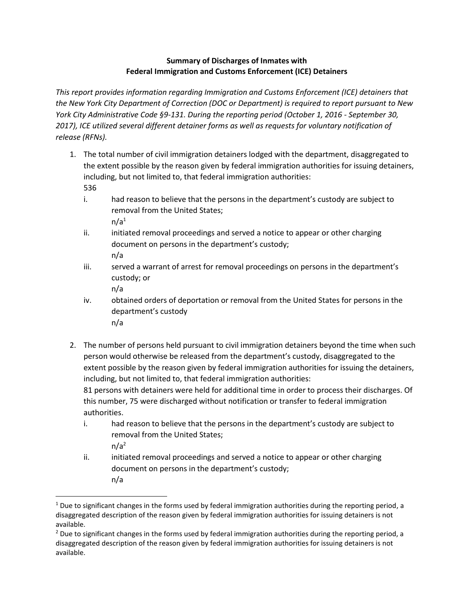## **Summary of Discharges of Inmates with Federal Immigration and Customs Enforcement (ICE) Detainers**

*This report provides information regarding Immigration and Customs Enforcement (ICE) detainers that the New York City Department of Correction (DOC or Department) is required to report pursuant to New York City Administrative Code §9-131. During the reporting period (October 1, 2016 - September 30, 2017), ICE utilized several different detainer forms as well as requests for voluntary notification of release (RFNs).* 

- 1. The total number of civil immigration detainers lodged with the department, disaggregated to the extent possible by the reason given by federal immigration authorities for issuing detainers, including, but not limited to, that federal immigration authorities: 536
	- i. had reason to believe that the persons in the department's custody are subject to removal from the United States;  $n/a<sup>1</sup>$
	- ii. initiated removal proceedings and served a notice to appear or other charging document on persons in the department's custody; n/a
	- iii. served a warrant of arrest for removal proceedings on persons in the department's custody; or
		- n/a

 $\overline{a}$ 

- iv. obtained orders of deportation or removal from the United States for persons in the department's custody n/a
- 2. The number of persons held pursuant to civil immigration detainers beyond the time when such person would otherwise be released from the department's custody, disaggregated to the extent possible by the reason given by federal immigration authorities for issuing the detainers, including, but not limited to, that federal immigration authorities:

81 persons with detainers were held for additional time in order to process their discharges. Of this number, 75 were discharged without notification or transfer to federal immigration authorities.

- i. had reason to believe that the persons in the department's custody are subject to removal from the United States;  $n/a<sup>2</sup>$
- ii. initiated removal proceedings and served a notice to appear or other charging document on persons in the department's custody; n/a

 $1$  Due to significant changes in the forms used by federal immigration authorities during the reporting period, a disaggregated description of the reason given by federal immigration authorities for issuing detainers is not available.

<sup>&</sup>lt;sup>2</sup> Due to significant changes in the forms used by federal immigration authorities during the reporting period, a disaggregated description of the reason given by federal immigration authorities for issuing detainers is not available.